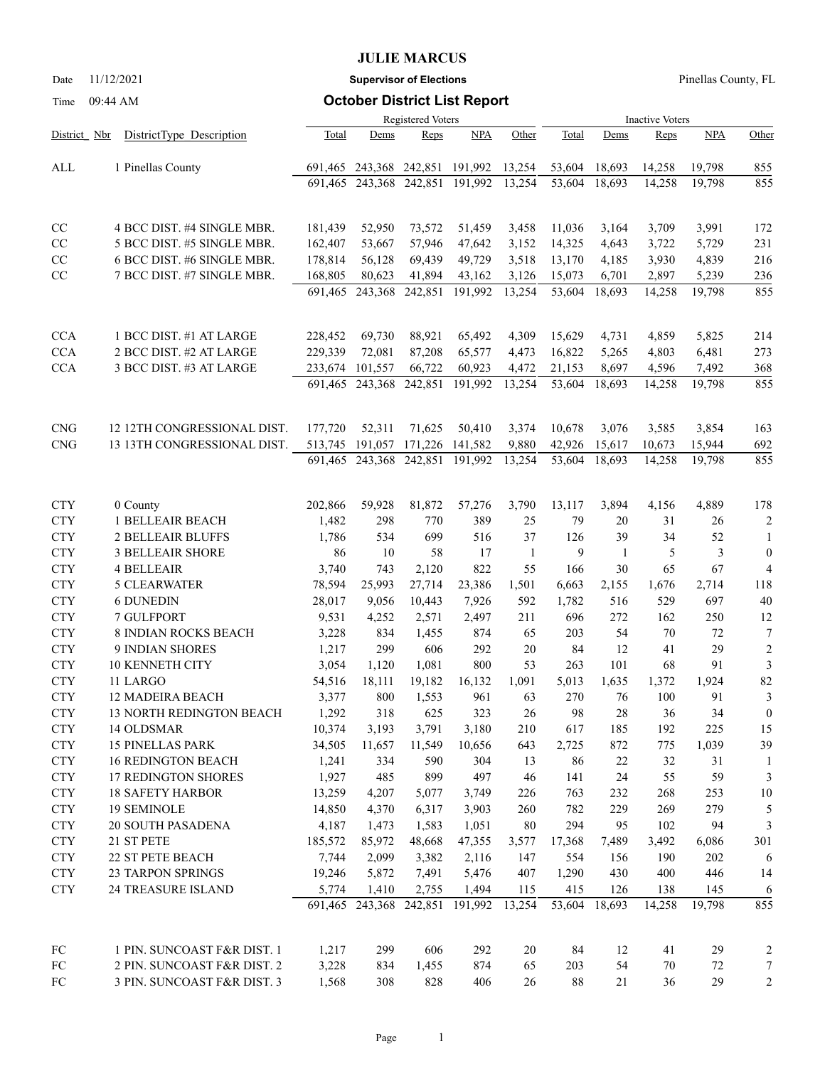# **JULIE MARCUS**

Date 11/12/2021 **Supervisor of Elections** Pinellas County, FL

# Time 09:44 AM **October District List Report**

|              |                                 |         |                 | <b>Registered Voters</b> |                                          | <b>Inactive Voters</b> |               |               |               |               |                         |
|--------------|---------------------------------|---------|-----------------|--------------------------|------------------------------------------|------------------------|---------------|---------------|---------------|---------------|-------------------------|
| District Nbr | DistrictType Description        | Total   | Dems            | Reps                     | <b>NPA</b>                               | Other                  | Total         | Dems          | Reps          | <b>NPA</b>    | Other                   |
| ALL          | 1 Pinellas County               | 691,465 |                 | 243,368 242,851          | 191,992                                  | 13,254                 | 53,604        | 18,693        | 14,258        | 19,798        | 855                     |
|              |                                 | 691.465 | 243,368         |                          | 242,851 191,992                          | 13,254                 | 53,604        | 18,693        | 14,258        | 19,798        | 855                     |
| CC           | 4 BCC DIST. #4 SINGLE MBR.      | 181,439 | 52,950          | 73,572                   | 51,459                                   | 3,458                  | 11,036        | 3,164         | 3,709         | 3,991         | 172                     |
| CC           | 5 BCC DIST. #5 SINGLE MBR.      | 162,407 | 53,667          | 57,946                   | 47,642                                   | 3,152                  | 14,325        | 4,643         | 3,722         | 5,729         | 231                     |
| CC           | 6 BCC DIST. #6 SINGLE MBR.      | 178,814 | 56,128          | 69,439                   | 49,729                                   | 3,518                  | 13,170        | 4,185         | 3,930         | 4,839         | 216                     |
| CC           | 7 BCC DIST. #7 SINGLE MBR.      | 168,805 | 80,623          | 41,894                   | 43,162                                   | 3,126                  | 15,073        | 6,701         | 2,897         | 5,239         | 236                     |
|              |                                 | 691,465 | 243,368         | 242,851                  | 191,992                                  | 13,254                 | 53,604        | 18,693        | 14,258        | 19,798        | 855                     |
| <b>CCA</b>   | 1 BCC DIST. #1 AT LARGE         | 228,452 | 69,730          | 88,921                   | 65,492                                   | 4,309                  | 15,629        | 4,731         | 4,859         | 5,825         | 214                     |
| <b>CCA</b>   | 2 BCC DIST. #2 AT LARGE         | 229,339 | 72,081          | 87,208                   | 65,577                                   | 4,473                  | 16,822        | 5,265         | 4,803         | 6,481         | 273                     |
| <b>CCA</b>   | 3 BCC DIST. #3 AT LARGE         | 233,674 | 101,557         | 66,722                   | 60,923                                   | 4,472                  | 21,153        | 8,697         | 4,596         | 7,492         | 368                     |
|              |                                 | 691,465 | 243,368         | 242,851                  | 191,992                                  | 13,254                 | 53,604        | 18,693        | 14,258        | 19,798        | 855                     |
| <b>CNG</b>   | 12 12TH CONGRESSIONAL DIST.     | 177,720 | 52,311          | 71,625                   | 50,410                                   | 3,374                  | 10,678        | 3,076         | 3,585         | 3,854         | 163                     |
| <b>CNG</b>   | 13 13TH CONGRESSIONAL DIST.     | 513,745 | 191,057         |                          | 171,226 141,582                          | 9,880                  | 42,926        | 15,617        | 10,673        | 15,944        | 692                     |
|              |                                 |         | 691,465 243,368 |                          | 242,851 191,992                          | 13,254                 | 53,604        | 18,693        | 14,258        | 19,798        | 855                     |
| <b>CTY</b>   | 0 County                        | 202,866 | 59,928          | 81,872                   | 57,276                                   | 3,790                  | 13,117        | 3,894         | 4,156         | 4,889         | 178                     |
| <b>CTY</b>   | 1 BELLEAIR BEACH                | 1,482   | 298             | 770                      | 389                                      | 25                     | 79            | 20            | 31            | 26            | $\overline{c}$          |
| <b>CTY</b>   | 2 BELLEAIR BLUFFS               | 1,786   | 534             | 699                      | 516                                      | 37                     | 126           | 39            | 34            | 52            | 1                       |
| <b>CTY</b>   | <b>3 BELLEAIR SHORE</b>         | 86      | 10              | 58                       | 17                                       | 1                      | 9             | 1             | 5             | 3             | $\boldsymbol{0}$        |
| <b>CTY</b>   | <b>4 BELLEAIR</b>               | 3,740   | 743             | 2,120                    | 822                                      | 55                     | 166           | 30            | 65            | 67            | $\overline{4}$          |
| <b>CTY</b>   | <b>5 CLEARWATER</b>             | 78,594  | 25,993          | 27,714                   | 23,386                                   | 1,501                  | 6,663         | 2,155         | 1,676         | 2,714         | 118                     |
| <b>CTY</b>   | <b>6 DUNEDIN</b>                | 28,017  | 9,056           | 10,443                   | 7,926                                    | 592                    | 1,782         | 516           | 529           | 697           | 40                      |
| <b>CTY</b>   | 7 GULFPORT                      | 9,531   | 4,252           | 2,571                    | 2,497                                    | 211                    | 696           | 272           | 162           | 250           | 12                      |
| <b>CTY</b>   | 8 INDIAN ROCKS BEACH            | 3,228   | 834             | 1,455                    | 874                                      | 65                     | 203           | 54            | 70            | 72            | 7                       |
| <b>CTY</b>   | 9 INDIAN SHORES                 | 1,217   | 299             | 606                      | 292                                      | 20                     | 84            | 12            | 41            | 29            | $\overline{2}$          |
| <b>CTY</b>   | 10 KENNETH CITY                 | 3,054   | 1,120           | 1,081                    | 800                                      | 53                     | 263           | 101           | 68            | 91            | 3                       |
| <b>CTY</b>   | 11 LARGO                        | 54,516  | 18,111          | 19,182                   | 16,132                                   | 1,091                  | 5,013         | 1,635         | 1,372         | 1,924         | 82                      |
| <b>CTY</b>   | 12 MADEIRA BEACH                | 3,377   | 800             | 1,553                    | 961                                      | 63                     | 270           | 76            | 100           | 91            | 3                       |
| <b>CTY</b>   | <b>13 NORTH REDINGTON BEACH</b> | 1,292   | 318             | 625                      | 323                                      | 26                     | 98            | 28            | 36            | 34            | $\boldsymbol{0}$        |
| <b>CTY</b>   | 14 OLDSMAR                      | 10,374  | 3,193           | 3,791                    | 3,180                                    | 210                    | 617           | 185           | 192           | 225           | 15                      |
| <b>CTY</b>   | <b>15 PINELLAS PARK</b>         | 34,505  | 11,657          | 11,549                   | 10,656                                   | 643                    | 2,725         | 872           | 775           | 1,039         | 39                      |
| ${\rm CTY}$  | <b>16 REDINGTON BEACH</b>       | 1,241   | 334             | 590                      | 304                                      | 13                     | 86            | 22            | 32            | 31            | 1                       |
| ${\rm CTY}$  | 17 REDINGTON SHORES             | 1,927   | 485             | 899                      | 497                                      | 46                     | 141           | 24            | 55            | 59            | 3                       |
| ${\rm CTY}$  | <b>18 SAFETY HARBOR</b>         | 13,259  | 4,207           | 5,077                    | 3,749                                    | 226                    | 763           | 232           | 268           | 253           | 10                      |
| <b>CTY</b>   | <b>19 SEMINOLE</b>              | 14,850  | 4,370           | 6,317                    | 3,903                                    | 260                    | 782           | 229           | 269           | 279           | 5                       |
| ${\rm CTY}$  | 20 SOUTH PASADENA               | 4,187   | 1,473           | 1,583                    | 1,051                                    | 80                     | 294           | 95            | 102           | 94            | 3                       |
| ${\rm CTY}$  | 21 ST PETE                      | 185,572 | 85,972          | 48,668                   | 47,355                                   | 3,577                  | 17,368        | 7,489         | 3,492         | 6,086         | 301                     |
| ${\rm CTY}$  | 22 ST PETE BEACH                | 7,744   | 2,099           | 3,382                    | 2,116                                    | 147                    | 554           | 156           | 190           | 202           | 6                       |
| ${\rm CTY}$  | 23 TARPON SPRINGS               | 19,246  | 5,872           | 7,491                    | 5,476                                    | 407                    | 1,290         | 430           | 400           | 446           | 14                      |
| <b>CTY</b>   | 24 TREASURE ISLAND              | 5,774   | 1,410           | 2,755                    | 1,494<br>691,465 243,368 242,851 191,992 | 115<br>13,254          | 415<br>53,604 | 126<br>18,693 | 138<br>14,258 | 145<br>19,798 | 6<br>855                |
| FC           | 1 PIN. SUNCOAST F&R DIST. 1     | 1,217   | 299             | 606                      | 292                                      | 20                     | 84            | 12            | 41            | 29            | $\overline{\mathbf{c}}$ |
| FC           | 2 PIN. SUNCOAST F&R DIST. 2     | 3,228   | 834             | 1,455                    | 874                                      | 65                     | 203           | 54            | 70            | 72            | 7                       |
| ${\rm FC}$   | 3 PIN. SUNCOAST F&R DIST. 3     | 1,568   | 308             | 828                      | 406                                      | 26                     | 88            | 21            | 36            | 29            | $\overline{c}$          |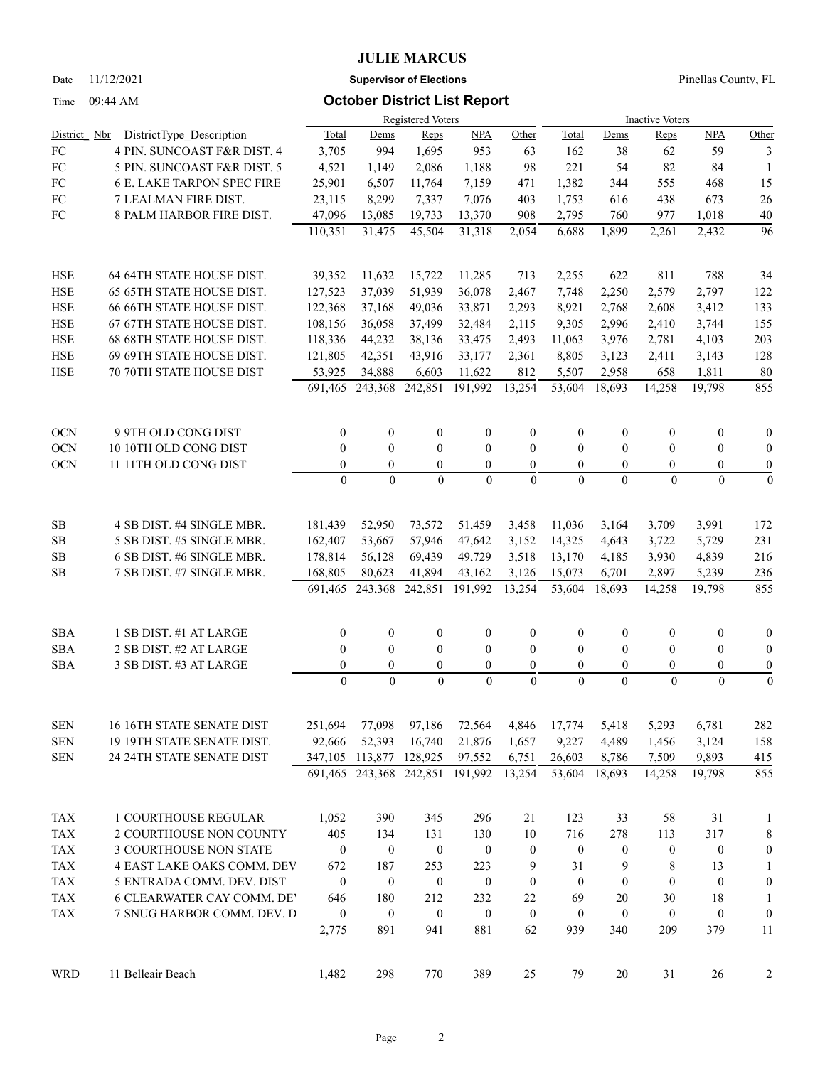### **JULIE MARCUS**

Date 11/12/2021 **Supervisor of Elections** Pinellas County, FL

## Time 09:44 AM **October District List Report**

|                |                                   | Registered Voters                  |                              |                                    |                            |                          |                              | <b>Inactive Voters</b>     |                                  |                              |                              |  |  |
|----------------|-----------------------------------|------------------------------------|------------------------------|------------------------------------|----------------------------|--------------------------|------------------------------|----------------------------|----------------------------------|------------------------------|------------------------------|--|--|
| District Nbr   | DistrictType Description          | Total                              | Dems                         | Reps                               | <b>NPA</b>                 | Other                    | Total                        | Dems                       | Reps                             | <b>NPA</b>                   | Other                        |  |  |
| ${\rm FC}$     | 4 PIN. SUNCOAST F&R DIST. 4       | 3,705                              | 994                          | 1,695                              | 953                        | 63                       | 162                          | 38                         | 62                               | 59                           | 3                            |  |  |
| ${\rm FC}$     | 5 PIN. SUNCOAST F&R DIST. 5       | 4,521                              | 1,149                        | 2,086                              | 1,188                      | 98                       | 221                          | 54                         | 82                               | 84                           | -1                           |  |  |
| FC             | <b>6 E. LAKE TARPON SPEC FIRE</b> | 25,901                             | 6,507                        | 11,764                             | 7,159                      | 471                      | 1,382                        | 344                        | 555                              | 468                          | 15                           |  |  |
| FC             | 7 LEALMAN FIRE DIST.              | 23,115                             | 8,299                        | 7,337                              | 7,076                      | 403                      | 1,753                        | 616                        | 438                              | 673                          | $26\,$                       |  |  |
| FC             | 8 PALM HARBOR FIRE DIST.          | 47,096                             | 13,085                       | 19,733                             | 13,370                     | 908                      | 2,795                        | 760                        | 977                              | 1,018                        | 40                           |  |  |
|                |                                   | 110,351                            | 31,475                       | 45,504                             | 31,318                     | 2,054                    | 6,688                        | 1,899                      | 2,261                            | 2,432                        | 96                           |  |  |
| HSE            | 64 64TH STATE HOUSE DIST.         | 39,352                             | 11,632                       | 15,722                             | 11,285                     | 713                      | 2,255                        | 622                        | 811                              | 788                          | 34                           |  |  |
| <b>HSE</b>     | 65 65TH STATE HOUSE DIST.         | 127,523                            | 37,039                       | 51,939                             | 36,078                     | 2,467                    | 7,748                        | 2,250                      | 2,579                            | 2,797                        | 122                          |  |  |
| <b>HSE</b>     | 66 66TH STATE HOUSE DIST.         | 122,368                            | 37,168                       | 49,036                             | 33,871                     | 2,293                    | 8,921                        | 2,768                      | 2,608                            | 3,412                        | 133                          |  |  |
| <b>HSE</b>     | 67 67TH STATE HOUSE DIST.         | 108,156                            | 36,058                       | 37,499                             | 32,484                     | 2,115                    | 9,305                        | 2,996                      | 2,410                            | 3,744                        | 155                          |  |  |
| <b>HSE</b>     | 68 68TH STATE HOUSE DIST.         | 118,336                            | 44,232                       | 38,136                             | 33,475                     | 2,493                    | 11,063                       | 3,976                      | 2,781                            | 4,103                        | 203                          |  |  |
| <b>HSE</b>     | 69 69TH STATE HOUSE DIST.         | 121,805                            | 42,351                       | 43,916                             | 33,177                     | 2,361                    | 8,805                        | 3,123                      | 2,411                            | 3,143                        | 128                          |  |  |
| <b>HSE</b>     | 70 70TH STATE HOUSE DIST          | 53,925<br>691,465                  | 34,888<br>243,368            | 6,603<br>242,851                   | 11,622<br>191,992          | 812<br>13,254            | 5,507<br>53,604              | 2,958<br>18.693            | 658<br>14,258                    | 1,811<br>19,798              | 80<br>855                    |  |  |
| <b>OCN</b>     | 9 9TH OLD CONG DIST               | $\boldsymbol{0}$                   | $\boldsymbol{0}$             | $\boldsymbol{0}$                   | $\boldsymbol{0}$           | $\mathbf{0}$             | $\boldsymbol{0}$             | $\overline{0}$             | $\boldsymbol{0}$                 | $\boldsymbol{0}$             | $\boldsymbol{0}$             |  |  |
| <b>OCN</b>     | 10 10TH OLD CONG DIST             | $\mathbf{0}$                       | $\mathbf{0}$                 | $\mathbf{0}$                       | $\mathbf{0}$               | $\theta$                 | $\theta$                     | $\overline{0}$             | $\mathbf{0}$                     | $\mathbf{0}$                 | $\boldsymbol{0}$             |  |  |
| <b>OCN</b>     | 11 11TH OLD CONG DIST             | $\boldsymbol{0}$                   | $\mathbf{0}$                 | $\boldsymbol{0}$                   | $\overline{0}$             | $\overline{0}$           | $\mathbf{0}$                 | $\overline{0}$             | $\boldsymbol{0}$                 | $\boldsymbol{0}$             | $\boldsymbol{0}$             |  |  |
|                |                                   | $\overline{0}$                     | $\theta$                     | $\theta$                           | $\theta$                   | $\theta$                 | $\theta$                     | $\Omega$                   | $\theta$                         | $\theta$                     | $\mathbf{0}$                 |  |  |
| $\rm SB$       | 4 SB DIST. #4 SINGLE MBR.         | 181,439                            | 52,950                       | 73,572                             | 51,459                     | 3,458                    | 11,036                       | 3,164                      | 3,709                            | 3,991                        | 172                          |  |  |
| $\rm SB$       | 5 SB DIST. #5 SINGLE MBR.         | 162,407                            | 53,667                       | 57,946                             | 47,642                     | 3,152                    | 14,325                       | 4,643                      | 3,722                            | 5,729                        | 231                          |  |  |
| $\rm SB$       | 6 SB DIST. #6 SINGLE MBR.         | 178,814                            | 56,128                       | 69,439                             | 49,729                     | 3,518                    | 13,170                       | 4,185                      | 3,930                            | 4,839                        | 216                          |  |  |
| SB             | 7 SB DIST. #7 SINGLE MBR.         | 168,805                            | 80,623                       | 41,894                             | 43,162                     | 3,126                    | 15,073                       | 6,701                      | 2,897                            | 5,239                        | 236                          |  |  |
|                |                                   | 691,465                            | 243,368                      | 242,851                            | 191,992                    | 13,254                   | 53,604                       | 18,693                     | 14,258                           | 19,798                       | 855                          |  |  |
| <b>SBA</b>     | 1 SB DIST. #1 AT LARGE            | $\boldsymbol{0}$                   | $\boldsymbol{0}$             | $\boldsymbol{0}$                   | $\boldsymbol{0}$           | $\mathbf{0}$             | $\boldsymbol{0}$             | $\boldsymbol{0}$           | $\boldsymbol{0}$                 | $\boldsymbol{0}$             | $\boldsymbol{0}$             |  |  |
| SBA            | 2 SB DIST. #2 AT LARGE            | $\boldsymbol{0}$                   | $\boldsymbol{0}$             | $\boldsymbol{0}$                   | $\overline{0}$             | $\mathbf{0}$             | $\mathbf{0}$                 | $\overline{0}$             | $\mathbf{0}$                     | $\mathbf{0}$                 | $\boldsymbol{0}$             |  |  |
| <b>SBA</b>     | 3 SB DIST. #3 AT LARGE            | $\boldsymbol{0}$<br>$\overline{0}$ | $\boldsymbol{0}$<br>$\theta$ | $\boldsymbol{0}$<br>$\overline{0}$ | $\overline{0}$<br>$\theta$ | $\mathbf{0}$<br>$\theta$ | $\boldsymbol{0}$<br>$\theta$ | $\overline{0}$<br>$\Omega$ | $\boldsymbol{0}$<br>$\mathbf{0}$ | $\boldsymbol{0}$<br>$\theta$ | $\boldsymbol{0}$<br>$\theta$ |  |  |
| <b>SEN</b>     | 16 16TH STATE SENATE DIST         | 251,694                            | 77,098                       | 97,186                             | 72,564                     | 4,846                    | 17,774                       | 5,418                      | 5,293                            | 6,781                        | 282                          |  |  |
| <b>SEN</b>     | 19 19TH STATE SENATE DIST.        | 92,666                             | 52,393                       | 16,740                             | 21,876                     | 1,657                    | 9,227                        | 4,489                      | 1,456                            | 3,124                        | 158                          |  |  |
| SEN            | 24 24TH STATE SENATE DIST         |                                    | 347,105 113,877              | 128,925                            | 97,552                     | 6,751                    | 26,603                       | 8,786                      | 7,509                            | 9,893                        | 415                          |  |  |
|                |                                   |                                    | 691,465 243,368              | 242,851                            | 191,992                    | 13,254                   | 53,604                       | 18,693                     | 14,258                           | 19,798                       | 855                          |  |  |
| <b>TAX</b>     | 1 COURTHOUSE REGULAR              | 1,052                              | 390                          | 345                                | 296                        | 21                       | 123                          | 33                         | 58                               | 31                           | $\mathbf{1}$                 |  |  |
| TAX            | 2 COURTHOUSE NON COUNTY           | 405                                | 134                          | 131                                | 130                        | 10                       | 716                          | 278                        | 113                              | 317                          | $\,$ 8 $\,$                  |  |  |
| $\mathrm{TAX}$ | 3 COURTHOUSE NON STATE            | $\boldsymbol{0}$                   | $\boldsymbol{0}$             | $\boldsymbol{0}$                   | $\boldsymbol{0}$           | $\boldsymbol{0}$         | $\boldsymbol{0}$             | $\boldsymbol{0}$           | $\boldsymbol{0}$                 | $\boldsymbol{0}$             | $\boldsymbol{0}$             |  |  |
| $\mathrm{TAX}$ | 4 EAST LAKE OAKS COMM. DEV        | 672                                | 187                          | 253                                | 223                        | 9                        | 31                           | 9                          | 8                                | 13                           | 1                            |  |  |
| $\mathrm{TAX}$ | 5 ENTRADA COMM. DEV. DIST         | $\boldsymbol{0}$                   | $\boldsymbol{0}$             | $\boldsymbol{0}$                   | $\boldsymbol{0}$           | $\boldsymbol{0}$         | $\boldsymbol{0}$             | $\boldsymbol{0}$           | $\boldsymbol{0}$                 | $\boldsymbol{0}$             | $\boldsymbol{0}$             |  |  |
| <b>TAX</b>     | <b>6 CLEARWATER CAY COMM. DE'</b> | 646                                | 180                          | 212                                | 232                        | 22                       | 69                           | 20                         | 30                               | 18                           | 1                            |  |  |
| <b>TAX</b>     | 7 SNUG HARBOR COMM. DEV. D        | $\boldsymbol{0}$                   | $\boldsymbol{0}$             | $\boldsymbol{0}$                   | $\boldsymbol{0}$           | $\mathbf{0}$             | $\boldsymbol{0}$             | $\boldsymbol{0}$           | $\boldsymbol{0}$                 | $\boldsymbol{0}$             | $\boldsymbol{0}$             |  |  |
|                |                                   | 2,775                              | 891                          | 941                                | 881                        | 62                       | 939                          | 340                        | 209                              | 379                          | 11                           |  |  |
| <b>WRD</b>     | 11 Belleair Beach                 | 1,482                              | 298                          | 770                                | 389                        | 25                       | 79                           | 20                         | 31                               | 26                           | 2                            |  |  |